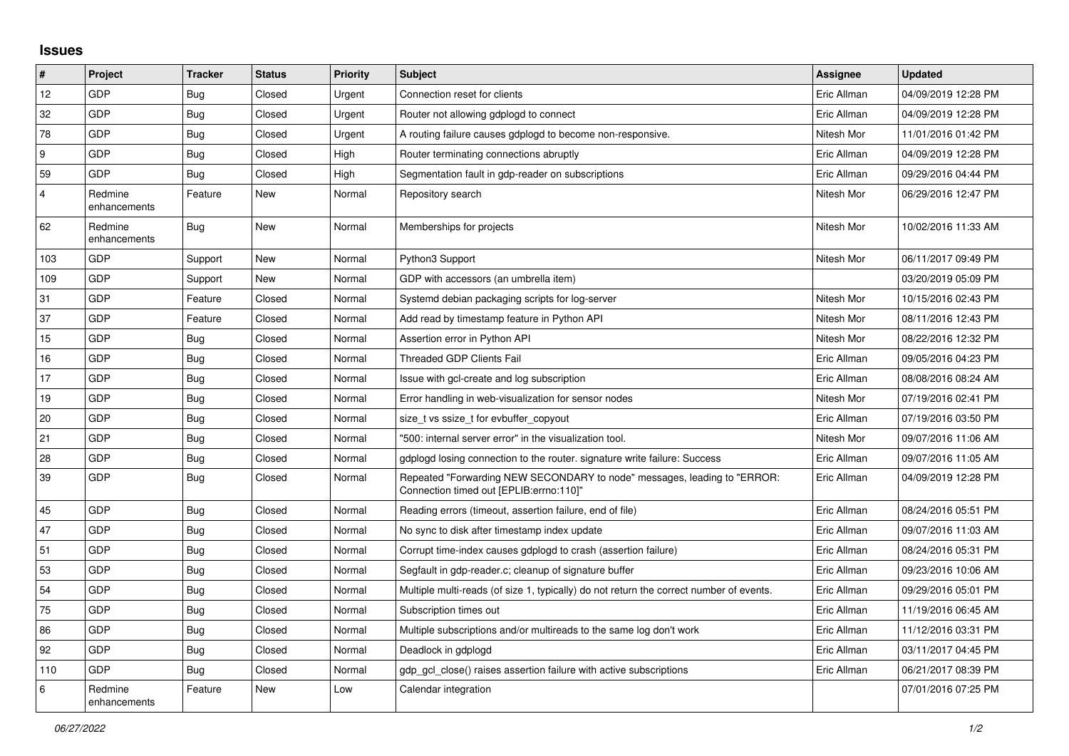## **Issues**

| $\#$           | Project                 | <b>Tracker</b> | <b>Status</b> | <b>Priority</b> | <b>Subject</b>                                                                                                      | Assignee    | <b>Updated</b>      |
|----------------|-------------------------|----------------|---------------|-----------------|---------------------------------------------------------------------------------------------------------------------|-------------|---------------------|
| 12             | GDP                     | <b>Bug</b>     | Closed        | Urgent          | Connection reset for clients                                                                                        | Eric Allman | 04/09/2019 12:28 PM |
| 32             | GDP                     | <b>Bug</b>     | Closed        | Urgent          | Router not allowing gdplogd to connect                                                                              | Eric Allman | 04/09/2019 12:28 PM |
| 78             | GDP                     | <b>Bug</b>     | Closed        | Urgent          | A routing failure causes gdplogd to become non-responsive.                                                          | Nitesh Mor  | 11/01/2016 01:42 PM |
| 9              | GDP                     | <b>Bug</b>     | Closed        | High            | Router terminating connections abruptly                                                                             | Eric Allman | 04/09/2019 12:28 PM |
| 59             | GDP                     | <b>Bug</b>     | Closed        | High            | Segmentation fault in gdp-reader on subscriptions                                                                   | Eric Allman | 09/29/2016 04:44 PM |
| $\overline{4}$ | Redmine<br>enhancements | Feature        | New           | Normal          | Repository search                                                                                                   | Nitesh Mor  | 06/29/2016 12:47 PM |
| 62             | Redmine<br>enhancements | Bug            | New           | Normal          | Memberships for projects                                                                                            | Nitesh Mor  | 10/02/2016 11:33 AM |
| 103            | GDP                     | Support        | New           | Normal          | Python3 Support                                                                                                     | Nitesh Mor  | 06/11/2017 09:49 PM |
| 109            | GDP                     | Support        | New           | Normal          | GDP with accessors (an umbrella item)                                                                               |             | 03/20/2019 05:09 PM |
| 31             | <b>GDP</b>              | Feature        | Closed        | Normal          | Systemd debian packaging scripts for log-server                                                                     | Nitesh Mor  | 10/15/2016 02:43 PM |
| 37             | GDP                     | Feature        | Closed        | Normal          | Add read by timestamp feature in Python API                                                                         | Nitesh Mor  | 08/11/2016 12:43 PM |
| 15             | GDP                     | Bug            | Closed        | Normal          | Assertion error in Python API                                                                                       | Nitesh Mor  | 08/22/2016 12:32 PM |
| 16             | GDP                     | <b>Bug</b>     | Closed        | Normal          | <b>Threaded GDP Clients Fail</b>                                                                                    | Eric Allman | 09/05/2016 04:23 PM |
| 17             | GDP                     | <b>Bug</b>     | Closed        | Normal          | Issue with gcl-create and log subscription                                                                          | Eric Allman | 08/08/2016 08:24 AM |
| 19             | GDP                     | Bug            | Closed        | Normal          | Error handling in web-visualization for sensor nodes                                                                | Nitesh Mor  | 07/19/2016 02:41 PM |
| 20             | GDP                     | <b>Bug</b>     | Closed        | Normal          | size t vs ssize t for evbuffer copyout                                                                              | Eric Allman | 07/19/2016 03:50 PM |
| 21             | <b>GDP</b>              | <b>Bug</b>     | Closed        | Normal          | "500: internal server error" in the visualization tool.                                                             | Nitesh Mor  | 09/07/2016 11:06 AM |
| 28             | GDP                     | <b>Bug</b>     | Closed        | Normal          | gdplogd losing connection to the router, signature write failure: Success                                           | Eric Allman | 09/07/2016 11:05 AM |
| 39             | GDP                     | Bug            | Closed        | Normal          | Repeated "Forwarding NEW SECONDARY to node" messages, leading to "ERROR:<br>Connection timed out [EPLIB:errno:110]" | Eric Allman | 04/09/2019 12:28 PM |
| 45             | GDP                     | <b>Bug</b>     | Closed        | Normal          | Reading errors (timeout, assertion failure, end of file)                                                            | Eric Allman | 08/24/2016 05:51 PM |
| 47             | GDP                     | Bug            | Closed        | Normal          | No sync to disk after timestamp index update                                                                        | Eric Allman | 09/07/2016 11:03 AM |
| 51             | GDP                     | Bug            | Closed        | Normal          | Corrupt time-index causes gdplogd to crash (assertion failure)                                                      | Eric Allman | 08/24/2016 05:31 PM |
| 53             | GDP                     | <b>Bug</b>     | Closed        | Normal          | Segfault in gdp-reader.c; cleanup of signature buffer                                                               | Eric Allman | 09/23/2016 10:06 AM |
| 54             | GDP                     | <b>Bug</b>     | Closed        | Normal          | Multiple multi-reads (of size 1, typically) do not return the correct number of events.                             | Eric Allman | 09/29/2016 05:01 PM |
| 75             | <b>GDP</b>              | <b>Bug</b>     | Closed        | Normal          | Subscription times out                                                                                              | Eric Allman | 11/19/2016 06:45 AM |
| 86             | GDP                     | Bug            | Closed        | Normal          | Multiple subscriptions and/or multireads to the same log don't work                                                 | Eric Allman | 11/12/2016 03:31 PM |
| 92             | GDP                     | Bug            | Closed        | Normal          | Deadlock in gdplogd                                                                                                 | Eric Allman | 03/11/2017 04:45 PM |
| 110            | <b>GDP</b>              | <b>Bug</b>     | Closed        | Normal          | gdp gcl close() raises assertion failure with active subscriptions                                                  | Eric Allman | 06/21/2017 08:39 PM |
| 6              | Redmine<br>enhancements | Feature        | New           | Low             | Calendar integration                                                                                                |             | 07/01/2016 07:25 PM |